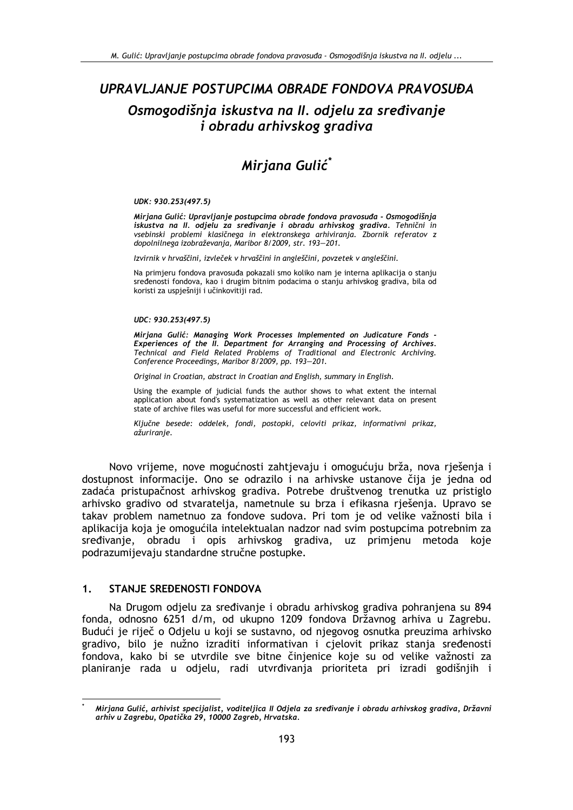# UPRAVLJANJE POSTUPCIMA OBRADE FONDOVA PRAVOSUĐA Osmogodišnja iskustva na II. odjelu za sređivanje i obradu arhivskog gradiva

# Mirjana Gulić\*

#### UDK: 930.253(497.5)

Mirjana Gulić: Upravljanje postupcima obrade fondova pravosuđa - Osmogodišnja iskustva na II. odjelu za sređivanje i obradu arhivskog gradiva. Tehnični in vsebinski problemi klasičnega in elektronskega arhiviranja. Zbornik referatov z dopolnilnega izobraževanja, Maribor 8/2009, str. 193-201.

Izvirnik v hrvaščini, izvleček v hrvaščini in angleščini, povzetek v angleščini.

Na primjeru fondova pravosuđa pokazali smo koliko nam je interna aplikacija o stanju sređenosti fondova, kao i drugim bitnim podacima o stanju arhivskog gradiva, bila od koristi za uspješniji i učinkovitiji rad.

#### UDC: 930.253(497.5)

Mirjana Gulić: Managing Work Processes Implemented on Judicature Fonds Experiences of the II. Department for Arranging and Processing of Archives. Technical and Field Related Problems of Traditional and Electronic Archiving. Conference Proceedings, Maribor 8/2009, pp. 193-201.

Original in Croatian, abstract in Croatian and English, summary in English.

Using the example of judicial funds the author shows to what extent the internal application about fond's systematization as well as other relevant data on present state of archive files was useful for more successful and efficient work.

Ključne besede: oddelek, fondi, postopki, celoviti prikaz, informativni prikaz, ažuriranie.

Novo vrijeme, nove mogućnosti zahtjevaju i omogućuju brža, nova rješenja i dostupnost informacije. Ono se odrazilo i na arhivske ustanove čija je jedna od zadaća pristupačnost arhivskog gradiva. Potrebe društvenog trenutka uz pristiglo arhivsko gradivo od stvaratelja, nametnule su brza i efikasna rješenja. Upravo se takav problem nametnuo za fondove sudova. Pri tom je od velike važnosti bila i aplikacija koja je omogućila intelektualan nadzor nad svim postupcima potrebnim za sređivanje, obradu i opis arhivskog gradiva, uz primjenu metoda koje podrazumijevaju standardne stručne postupke.

#### $1<sub>1</sub>$ STANJE SREĐENOSTI FONDOVA

Na Drugom odjelu za sređivanje i obradu arhivskog gradiva pohranjena su 894 fonda, odnosno 6251 d/m, od ukupno 1209 fondova Državnog arhiva u Zagrebu. Budući je riječ o Odjelu u koji se sustavno, od njegovog osnutka preuzima arhivsko gradivo, bilo je nužno izraditi informativan i cjelovit prikaz stanja sređenosti fondova, kako bi se utvrdile sve bitne činjenice koje su od velike važnosti za planiranje rada u odjelu, radi utvrđivanja prioriteta pri izradi godišnjih i

Mirjana Gulić, arhivist specijalist, voditeljica II Odjela za sređivanje i obradu arhivskog gradiva, Državni arhiv u Zagrebu, Opatička 29, 10000 Zagreb, Hrvatska.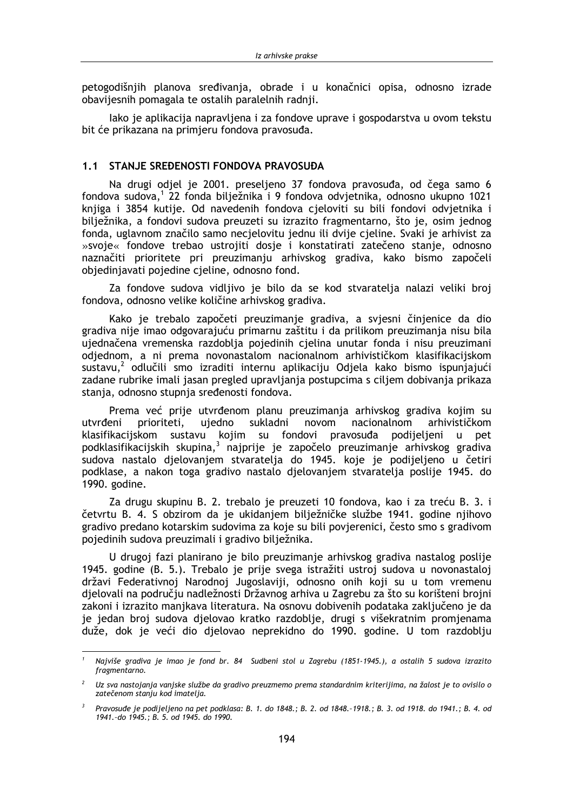petogodišnjih planova sređivanja, obrade i u konačnici opisa, odnosno izrade obavijesnih pomagala te ostalih paralelnih radnji.

lako je aplikacija napravljena i za fondove uprave i gospodarstva u ovom tekstu bit će prikazana na primjeru fondova pravosuđa.

#### 1.1 STANJE SREĐENOSTI FONDOVA PRAVOSUĐA

Na drugi odjel je 2001. preseljeno 37 fondova pravosuđa, od čega samo 6 fondova sudova,<sup>1</sup> 22 fonda bilježnika i 9 fondova odvjetnika, odnosno ukupno 1021 knjiga i 3854 kutije. Od navedenih fondova cjeloviti su bili fondovi odvjetnika i bilježnika, a fondovi sudova preuzeti su izrazito fragmentarno, što je, osim jednog fonda, uglavnom značilo samo necjelovitu jednu ili dvije cjeline. Svaki je arhivist za »svoje« fondove trebao ustrojiti dosje i konstatirati zatečeno stanje, odnosno naznačiti prioritete pri preuzimanju arhivskog gradiva, kako bismo započeli objedinjavati pojedine cjeline, odnosno fond.

Za fondove sudova vidljivo je bilo da se kod stvaratelja nalazi veliki broj fondova, odnosno velike količine arhivskog gradiva.

Kako je trebalo započeti preuzimanje gradiva, a svjesni činjenice da dio gradiva nije imao odgovarajuću primarnu zaštitu i da prilikom preuzimanja nisu bila ujednačena vremenska razdoblja pojedinih cjelina unutar fonda i nisu preuzimani odjednom, a ni prema novonastalom nacionalnom arhivističkom klasifikacijskom sustavu,<sup>2</sup> odlučili smo izraditi internu aplikaciju Odjela kako bismo ispunjajući zadane rubrike imali jasan pregled upravljanja postupcima s ciljem dobivanja prikaza stanja, odnosno stupnja sređenosti fondova.

Prema već prije utvrđenom planu preuzimanja arhivskog gradiva kojim su utvrđeni prioriteti, ujedno sukladni novom nacionalnom arhivističkom klasifikaciiskom sustavu kojim su fondovi pravosuđa podijeljeni u pet podklasifikacijskih skupina,<sup>3</sup> najprije je započelo preuzimanje arhivskog gradiva sudova nastalo djelovanjem stvaratelja do 1945. koje je podijeljeno u četiri podklase, a nakon toga gradivo nastalo dielovaniem stvaratelia poslije 1945. do 1990. godine.

Za drugu skupinu B. 2. trebalo je preuzeti 10 fondova, kao i za treću B. 3. j četvrtu B. 4. S obzirom da je ukidanjem bilježničke službe 1941. godine njihovo gradivo predano kotarskim sudovima za koje su bili povjerenici, često smo s gradivom pojedinih sudova preuzimali i gradivo bilježnika.

U drugoj fazi planirano je bilo preuzimanje arhivskog gradiva nastalog poslije 1945. godine (B. 5.). Trebalo je prije svega istražiti ustroj sudova u novonastaloj državi Federativnoj Narodnoj Jugoslaviji, odnosno onih koji su u tom vremenu djelovali na području nadležnosti Državnog arhiva u Zagrebu za što su korišteni brojni zakoni i izrazito manjkava literatura. Na osnovu dobivenih podataka zaključeno je da je jedan broj sudova djelovao kratko razdoblje, drugi s višekratnim promjenama duže, dok je veći dio djelovao neprekidno do 1990. godine. U tom razdoblju

Najviše gradiva je imao je fond br. 84 Sudbeni stol u Zagrebu (1851-1945.), a ostalih 5 sudova izrazito fragmentarno.

 $2$  Uz sva nastojanja vanjske službe da gradivo preuzmemo prema standardnim kriterijima, na žalost je to ovisilo o zatečenom stanju kod imatelja.

Pravosuđe je podijeljeno na pet podklasa: B. 1. do 1848.; B. 2. od 1848.-1918.; B. 3. od 1918. do 1941.; B. 4. od 1941.-do 1945.; B. 5. od 1945. do 1990.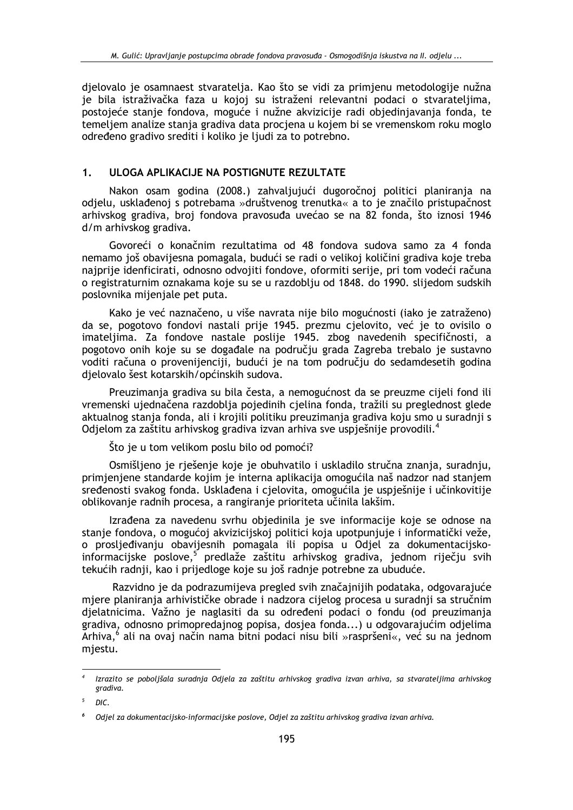djelovalo je osamnaest stvaratelja. Kao što se vidi za primjenu metodologije nužna je bila istraživačka faza u kojoj su istraženi relevantni podaci o stvarateljima, postojeće stanje fondova, moguće i nužne akvizicije radi objedinjavanja fonda, te temeljem analize stanja gradiva data procjena u kojem bi se vremenskom roku moglo određeno gradivo srediti i koliko je ljudi za to potrebno.

#### $1.$ ULOGA APLIKACIJE NA POSTIGNUTE REZULTATE

Nakon osam godina (2008.) zahvaljujući dugoročnoj politici planiranja na odjelu, usklađenoj s potrebama »društvenog trenutka« a to je značilo pristupačnost arhivskog gradiva, broj fondova pravosuđa uvećao se na 82 fonda, što iznosi 1946 d/m arhivskog gradiva.

Govoreći o konačnim rezultatima od 48 fondova sudova samo za 4 fonda nemamo još obavijesna pomagala, budući se radi o velikoj količini gradiva koje treba najprije idenficirati, odnosno odvojiti fondove, oformiti serije, pri tom vodeći računa o registraturnim oznakama koje su se u razdoblju od 1848. do 1990. slijedom sudskih poslovnika mijenjale pet puta.

Kako je već naznačeno, u više navrata nije bilo mogućnosti (iako je zatraženo) da se, pogotovo fondovi nastali prije 1945. prezmu cjelovito, već je to ovisilo o imateljima. Za fondove nastale poslije 1945. zbog navedenih specifičnosti, a pogotovo onih koje su se događale na području grada Zagreba trebalo je sustavno voditi računa o provenijenciji, budući je na tom području do sedamdesetih godina djelovalo šest kotarskih/općinskih sudova.

Preuzimanja gradiva su bila česta, a nemogućnost da se preuzme cijeli fond ili vremenski ujednačena razdoblja pojedinih cjelina fonda, tražili su preglednost glede aktualnog stanja fonda, ali i krojili politiku preuzimanja gradiva koju smo u suradnji s Odjelom za zaštitu arhivskog gradiva izvan arhiva sve uspješnije provodili.<sup>4</sup>

Što je u tom velikom poslu bilo od pomoći?

Osmišljeno je rješenje koje je obuhvatilo i uskladilo stručna znanja, suradnju, primjenjene standarde kojim je interna aplikacija omogućila naš nadzor nad stanjem sređenosti svakog fonda. Usklađena i cielovita, omogućila je uspješnije i učinkovitije oblikovanie radnih procesa, a rangiranie prioriteta učinila lakšim.

Izrađena za navedenu svrhu objedinila je sve informacije koje se odnose na stanje fondova, o mogućoj akvizicijskoj politici koja upotpunjuje i informatički veže, o prosljeđivanju obavijesnih pomagala ili popisa u Odjel za dokumentacijskoinformacijske poslove,<sup>5</sup> predlaže zaštitu arhivskog gradiva, jednom riječju svih tekućih radnji, kao i prijedloge koje su još radnje potrebne za ubuduće.

Razvidno je da podrazumijeva pregled svih značajnijih podataka, odgovarajuće mjere planiranja arhivističke obrade i nadzora cijelog procesa u suradnji sa stručnim djelatnicima. Važno je naglasiti da su određeni podaci o fondu (od preuzimanja gradiva, odnosno primopredajnog popisa, dosjea fonda...) u odgovarajućim odjelima Arhiva,<sup>6</sup> ali na ovaj način nama bitni podaci nisu bili »raspršeni«, već su na jednom miestu.

Izrazito se poboljšala suradnja Odjela za zaštitu arhivskog gradiva izvan arhiva, sa stvarateljima arhivskog gradiva.

DIC.

Odjel za dokumentacijsko-informacijske poslove, Odjel za zaštitu arhivskog gradiva izvan arhiva.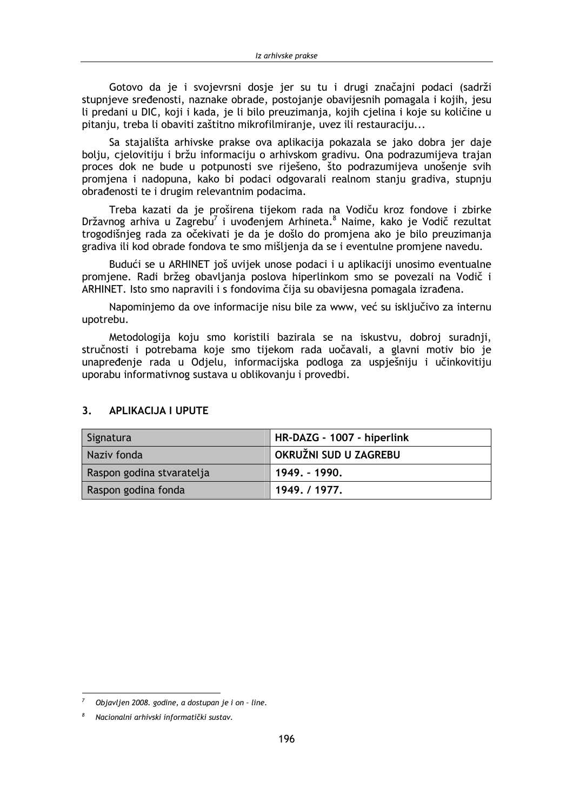Gotovo da je i svojevrsni dosje jer su tu i drugi značajni podaci (sadrži stupnjeve sređenosti, naznake obrade, postojanje obavijesnih pomagala i kojih, jesu li predani u DIC, koji i kada, je li bilo preuzimanja, kojih cjelina i koje su količine u pitaniu, treba li obaviti zaštitno mikrofilmiranie, uvez ili restauraciju...

Sa stajališta arhivske prakse ova aplikacija pokazala se jako dobra jer daje bolju, cjelovitiju i bržu informaciju o arhivskom gradivu. Ona podrazumijeva trajan proces dok ne bude u potpunosti sve riješeno, što podrazumijeva unošenje svih promjena i nadopuna, kako bi podaci odgovarali realnom stanju gradiva, stupnju obrađenosti te i drugim relevantnim podacima.

Treba kazati da je proširena tijekom rada na Vodiču kroz fondove i zbirke Državnog arhiva u Zagrebu<sup>7</sup> i uvođenjem Arhineta.<sup>8</sup> Naime, kako je Vodič rezultat trogodišnjeg rada za očekivati je da je došlo do promjena ako je bilo preuzimanja gradiva ili kod obrade fondova te smo mišljenja da se i eventulne promjene navedu.

Budući se u ARHINET još uvijek unose podaci i u aplikaciji unosimo eventualne promjene. Radi bržeg obavljanja poslova hiperlinkom smo se povezali na Vodič i ARHINET. Isto smo napravili i s fondovima čija su obavijesna pomagala izrađena.

Napominjemo da ove informacije nisu bile za www, već su isključivo za internu upotrebu.

Metodologija koju smo koristili bazirala se na iskustvu, dobroj suradnji, stručnosti i potrebama koje smo tijekom rada uočavali, a glavni motiv bio je unapređenje rada u Odjelu, informacijska podloga za uspješniju i učinkovitiju uporabu informativnog sustava u oblikovanju i provedbi.

| Signatura                 | HR-DAZG - 1007 - hiperlink |
|---------------------------|----------------------------|
| Naziv fonda               | OKRUŽNI SUD U ZAGREBU      |
| Raspon godina stvaratelja | 1949. - 1990.              |
| Raspon godina fonda       | 1949. / 1977.              |

#### $\overline{3}$ **APLIKACIJA I UPUTE**

Objavljen 2008. godine, a dostupan je i on - line.

Nacionalni arhivski informatički sustav.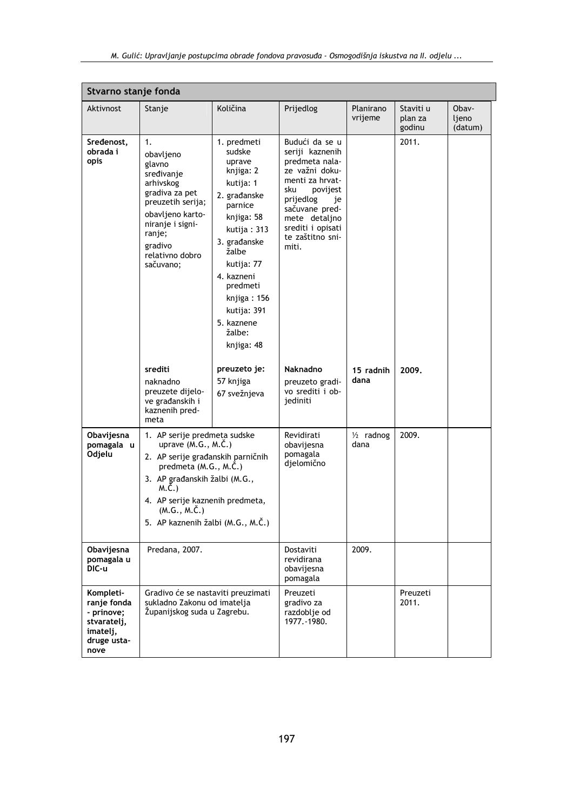| Stvarno stanje fonda                                                                     |                                                                                                                                                                                                                                                               |                                                                                                                                                                                                                                                        |                                                                                                                                                                                                                     |                              |                                |                           |
|------------------------------------------------------------------------------------------|---------------------------------------------------------------------------------------------------------------------------------------------------------------------------------------------------------------------------------------------------------------|--------------------------------------------------------------------------------------------------------------------------------------------------------------------------------------------------------------------------------------------------------|---------------------------------------------------------------------------------------------------------------------------------------------------------------------------------------------------------------------|------------------------------|--------------------------------|---------------------------|
| Aktivnost                                                                                | Stanje                                                                                                                                                                                                                                                        | Količina                                                                                                                                                                                                                                               | Prijedlog                                                                                                                                                                                                           | Planirano<br>vrijeme         | Staviti u<br>plan za<br>godinu | Obav-<br>ljeno<br>(datum) |
| Sredenost,<br>obrada i<br>opis                                                           | 1.<br>obavljeno<br>glavno<br>sređivanje<br>arhivskog<br>gradiva za pet<br>preuzetih serija;<br>obavljeno karto-<br>niranje i signi-<br>ranje;<br>gradivo<br>relativno dobro<br>sačuvano;                                                                      | 1. predmeti<br>sudske<br>uprave<br>knjiga: 2<br>kutija: 1<br>2. građanske<br>parnice<br>knjiga: 58<br>kutija: 313<br>3. građanske<br>žalbe<br>kutija: 77<br>4. kazneni<br>predmeti<br>knjiga: 156<br>kutija: 391<br>5. kaznene<br>žalbe:<br>knjiga: 48 | Budući da se u<br>seriji kaznenih<br>predmeta nala-<br>ze važni doku-<br>menti za hrvat-<br>sku<br>povijest<br>prijedlog<br>je<br>sačuvane pred-<br>mete detaljno<br>srediti i opisati<br>te zaštitno sni-<br>miti. |                              | 2011.                          |                           |
|                                                                                          | srediti<br>naknadno<br>preuzete dijelo-<br>ve građanskih i<br>kaznenih pred-<br>meta                                                                                                                                                                          | preuzeto je:<br>57 knjiga<br>67 svežnjeva                                                                                                                                                                                                              | Naknadno<br>preuzeto gradi-<br>vo srediti i ob-<br>jediniti                                                                                                                                                         | 15 radnih<br>dana            | 2009.                          |                           |
| Obavijesna<br>pomagala u<br>Odjelu                                                       | 1. AP serije predmeta sudske<br>uprave $(M.G., M.\check{C.})$<br>2. AP serije građanskih parničnih<br>predmeta (M.G., M.Č.)<br>3. AP građanskih žalbi (M.G.,<br>M.Č.)<br>4. AP serije kaznenih predmeta,<br>(M.G., M.Č.)<br>5. AP kaznenih žalbi (M.G., M.Č.) |                                                                                                                                                                                                                                                        | Revidirati<br>obavijesna<br>pomagala<br>djelomično                                                                                                                                                                  | $\frac{1}{2}$ radnog<br>dana | 2009.                          |                           |
| Obavijesna<br>pomagala u<br>DIC-u                                                        | Predana, 2007.                                                                                                                                                                                                                                                |                                                                                                                                                                                                                                                        | Dostaviti<br>revidirana<br>obavijesna<br>pomagala                                                                                                                                                                   | 2009.                        |                                |                           |
| Kompleti-<br>ranje fonda<br>- prinove;<br>stvaratelj,<br>imatelj,<br>druge usta-<br>nove | Gradivo će se nastaviti preuzimati<br>sukladno Zakonu od imatelja<br>Županijskog suda u Zagrebu.                                                                                                                                                              |                                                                                                                                                                                                                                                        | Preuzeti<br>gradivo za<br>razdoblje od<br>1977. - 1980.                                                                                                                                                             |                              | Preuzeti<br>2011.              |                           |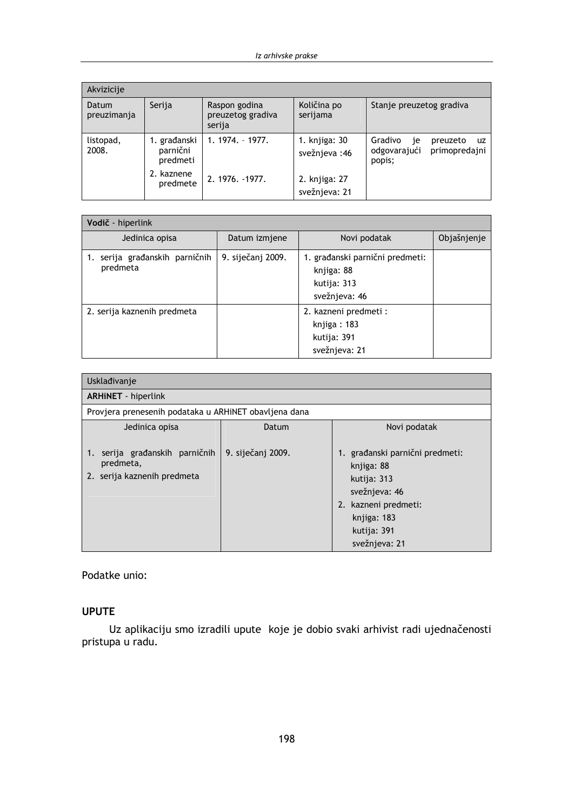| Akvizicije           |                                      |                                              |                                |                                                                             |
|----------------------|--------------------------------------|----------------------------------------------|--------------------------------|-----------------------------------------------------------------------------|
| Datum<br>preuzimanja | Serija                               | Raspon godina<br>preuzetog gradiva<br>serija | Količina po<br>serijama        | Stanje preuzetog gradiva                                                    |
| listopad,<br>2008.   | 1. građanski<br>parnični<br>predmeti | $1.1974. - 1977.$                            | 1. knjiga: 30<br>svežnjeva: 46 | Gradivo<br>preuzeto<br>je<br>uz.<br>odgovarajući<br>primopredajni<br>popis; |
|                      | 2. kaznene<br>predmete               | 2. 1976. -1977.                              | 2. knjiga: 27<br>svežnjeva: 21 |                                                                             |

| Vodič - hiperlink                       |                   |                                                                               |             |  |
|-----------------------------------------|-------------------|-------------------------------------------------------------------------------|-------------|--|
| Jedinica opisa                          | Datum izmjene     | Novi podatak                                                                  | Objašnjenje |  |
| serija građanskih parničnih<br>predmeta | 9. siječanj 2009. | 1. građanski parnični predmeti:<br>knjiga: 88<br>kutija: 313<br>svežnjeva: 46 |             |  |
| 2. serija kaznenih predmeta             |                   | 2. kazneni predmeti :<br>knjiga: 183<br>kutija: 391<br>svežnjeva: 21          |             |  |

| Uskladivanje                                                                  |                   |                                                                                                                                                      |  |  |
|-------------------------------------------------------------------------------|-------------------|------------------------------------------------------------------------------------------------------------------------------------------------------|--|--|
| <b>ARHINET</b> - hiperlink                                                    |                   |                                                                                                                                                      |  |  |
| Provjera prenesenih podataka u ARHINET obavljena dana                         |                   |                                                                                                                                                      |  |  |
| Jedinica opisa                                                                | Datum             | Novi podatak                                                                                                                                         |  |  |
| serija građanskih parničnih<br>1.<br>predmeta,<br>2. serija kaznenih predmeta | 9. siječanj 2009. | 1. građanski parnični predmeti:<br>knjiga: 88<br>kutija: 313<br>svežnjeva: 46<br>2. kazneni predmeti:<br>knjiga: 183<br>kutija: 391<br>svežnjeva: 21 |  |  |

Podatke unio:

## **UPUTE**

Uz aplikaciju smo izradili upute koje je dobio svaki arhivist radi ujednačenosti pristupa u radu.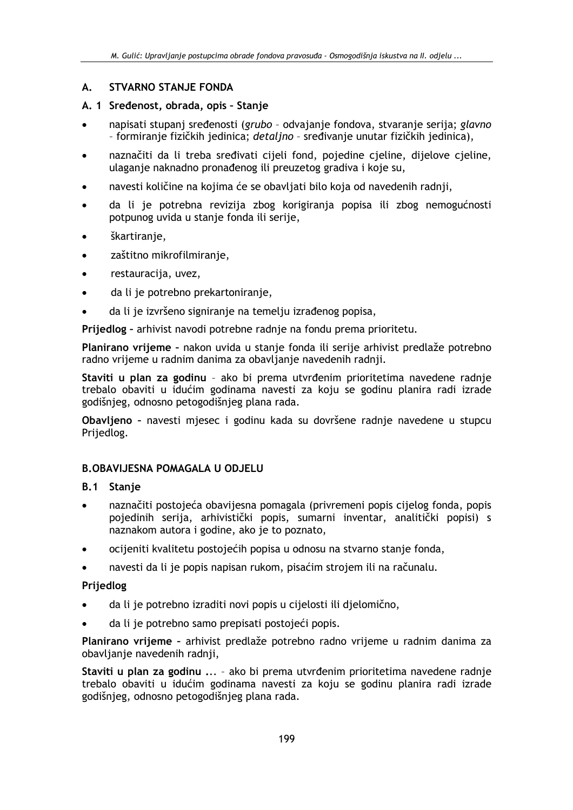#### **STVARNO STANJE FONDA**  $\mathbf{A}$ .

## A. 1 Sređenost, obrada, opis - Stanie

- napisati stupani sređenosti (grubo odvajanje fondova, stvaranje serija; glavno - formiranje fizičkih jedinica; detaljno - sređivanje unutar fizičkih jedinica),
- naznačiti da li treba sređivati cijeli fond, pojedine cjeline, dijelove cjeline, ulaganje naknadno pronađenog ili preuzetog gradiva i koje su,
- navesti količine na kojima će se obavljati bilo koja od navedenih radnji,
- da li je potrebna revizija zbog korigiranja popisa ili zbog nemogućnosti potpunog uvida u stanje fonda ili serije,
- škartiranje,
- zaštitno mikrofilmiranje,  $\bullet$
- restauracija, uvez,  $\bullet$
- da li je potrebno prekartoniranje,
- da li je izvršeno signiranje na temelju izrađenog popisa,

Prijedlog - arhivist navodi potrebne radnje na fondu prema prioritetu.

Planirano vrijeme - nakon uvida u stanje fonda ili serije arhivist predlaže potrebno radno vrijeme u radnim danima za obavljanje navedenih radnji.

Staviti u plan za godinu - ako bi prema utvrđenim prioritetima navedene radnje trebalo obaviti u idućim godinama navesti za koju se godinu planira radi izrade godišnjeg, odnosno petogodišnjeg plana rada.

Obavljeno - navesti mjesec i godinu kada su dovršene radnje navedene u stupcu Prijedlog.

### **B.OBAVIJESNA POMAGALA U ODJELU**

### **B.1** Stanje

- naznačiti postojeća obavijesna pomagala (privremeni popis cijelog fonda, popis pojedinih serija, arhivistički popis, sumarni inventar, analitički popisi) s naznakom autora i godine, ako je to poznato,
- ocijeniti kvalitetu postojećih popisa u odnosu na stvarno stanje fonda,
- navesti da li je popis napisan rukom, pisaćim strojem ili na računalu.

### Prijedlog

- da li je potrebno izraditi novi popis u cijelosti ili djelomično,
- da li je potrebno samo prepisati postojeći popis.

Planirano vrijeme - arhivist predlaže potrebno radno vrijeme u radnim danima za obavlianie navedenih radnii.

Staviti u plan za godinu ... - ako bi prema utvrđenim prioritetima navedene radnie trebalo obaviti u idućim godinama navesti za koju se godinu planira radi izrade godišnieg, odnosno petogodišnieg plana rada.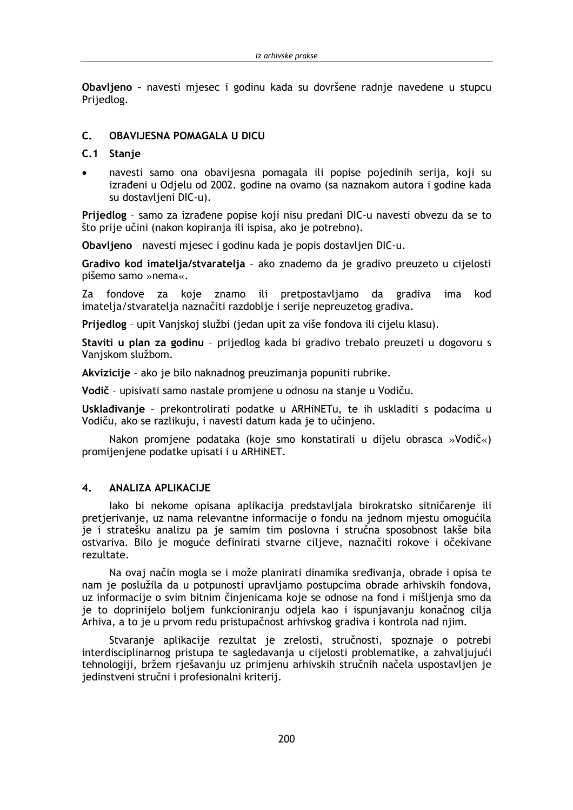Obavljeno - navesti mjesec i godinu kada su dovršene radnje navedene u stupcu Prijedlog.

#### $\mathsf{C}$ **OBAVLIESNA POMAGALA II DICII**

### C.1 Stanje

navesti samo ona obavijesna pomagala ili popise pojedinih serija, koji su izrađeni u Odjelu od 2002. godine na ovamo (sa naznakom autora i godine kada su dostavljeni DIC-u).

Prijedlog - samo za izrađene popise koji nisu predani DIC-u navesti obvezu da se to što prije učini (nakon kopiranja ili ispisa, ako je potrebno).

Obavljeno - navesti mjesec i godinu kada je popis dostavljen DIC-u.

Gradivo kod imatelja/stvaratelja - ako znademo da je gradivo preuzeto u cijelosti pišemo samo »nema«.

Za fondove za koje znamo ili pretpostavljamo da gradiva ima kod imatelja/stvaratelja naznačiti razdoblje i serije nepreuzetog gradiva.

Prijedlog - upit Vanjskoj službi (jedan upit za više fondova ili cijelu klasu).

Staviti u plan za godinu - prijedlog kada bi gradivo trebalo preuzeti u dogovoru s Vanjskom službom.

Akvizicije - ako je bilo naknadnog preuzimanja popuniti rubrike.

Vodič - upisivati samo nastale promjene u odnosu na stanje u Vodiču.

Usklađivanje - prekontrolirati podatke u ARHiNETu, te ih uskladiti s podacima u Vodiču, ako se razlikuju, i navesti datum kada je to učinjeno.

Nakon promjene podataka (koje smo konstatirali u dijelu obrasca »Vodič«) promijenjene podatke upisati i u ARHINET.

#### $\overline{\mathbf{4}}$ . **ANALIZA APLIKACIJE**

lako bi nekome opisana aplikacija predstavljala birokratsko sitničarenje ili pretierivanie, uz nama relevantne informaciie o fondu na jednom miestu omogućila je i stratešku analizu pa je samim tim poslovna i stručna sposobnost lakše bila ostvariva. Bilo je moguće definirati stvarne cilieve, naznačiti rokove i očekivane rezultate.

Na ovaj način mogla se i može planirati dinamika sređivanja, obrade i opisa te nam je poslužila da u potpunosti upravljamo postupcima obrade arhivskih fondova, uz informacije o svim bitnim činjenicama koje se odnose na fond i mišljenja smo da je to doprinijelo boljem funkcioniranju odjela kao i ispunjavanju konačnog cilja Arhiva, a to je u prvom redu pristupačnost arhivskog gradiva i kontrola nad njim.

Stvaranje aplikacije rezultat je zrelosti, stručnosti, spoznaje o potrebi interdisciplinarnog pristupa te sagledavanja u cijelosti problematike, a zahvaljujući tehnologiji, bržem rješavanju uz primjenu arhivskih stručnih načela uspostavljen je jedinstveni stručni i profesionalni kriterij.